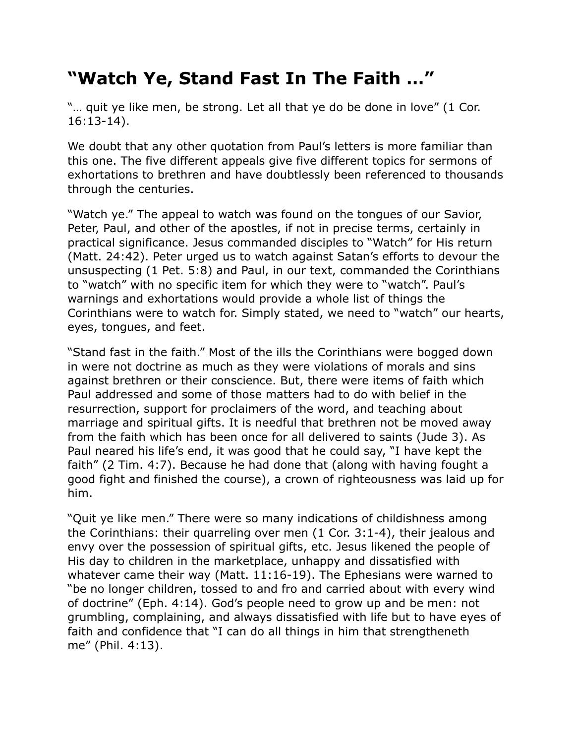## **"Watch Ye, Stand Fast In The Faith …"**

"... quit ye like men, be strong. Let all that ye do be done in love" (1 Cor. 16:13-14).

We doubt that any other quotation from Paul's letters is more familiar than this one. The five different appeals give five different topics for sermons of exhortations to brethren and have doubtlessly been referenced to thousands through the centuries.

"Watch ye." The appeal to watch was found on the tongues of our Savior, Peter, Paul, and other of the apostles, if not in precise terms, certainly in practical significance. Jesus commanded disciples to "Watch" for His return (Matt. 24:42). Peter urged us to watch against Satan's efforts to devour the unsuspecting (1 Pet. 5:8) and Paul, in our text, commanded the Corinthians to "watch" with no specific item for which they were to "watch". Paul's warnings and exhortations would provide a whole list of things the Corinthians were to watch for. Simply stated, we need to "watch" our hearts, eyes, tongues, and feet.

"Stand fast in the faith." Most of the ills the Corinthians were bogged down in were not doctrine as much as they were violations of morals and sins against brethren or their conscience. But, there were items of faith which Paul addressed and some of those matters had to do with belief in the resurrection, support for proclaimers of the word, and teaching about marriage and spiritual gifts. It is needful that brethren not be moved away from the faith which has been once for all delivered to saints (Jude 3). As Paul neared his life's end, it was good that he could say, "I have kept the faith" (2 Tim. 4:7). Because he had done that (along with having fought a good fight and finished the course), a crown of righteousness was laid up for him.

"Quit ye like men." There were so many indications of childishness among the Corinthians: their quarreling over men (1 Cor. 3:1-4), their jealous and envy over the possession of spiritual gifts, etc. Jesus likened the people of His day to children in the marketplace, unhappy and dissatisfied with whatever came their way (Matt. 11:16-19). The Ephesians were warned to "be no longer children, tossed to and fro and carried about with every wind of doctrine" (Eph. 4:14). God's people need to grow up and be men: not grumbling, complaining, and always dissatisfied with life but to have eyes of faith and confidence that "I can do all things in him that strengtheneth me" (Phil. 4:13).